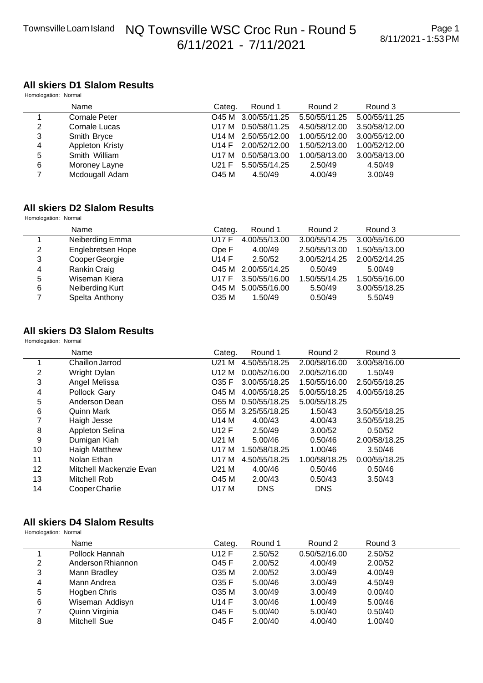#### **All skiers D1 Slalom Results** Homologation: Normal

| Thomologation: Thomas |                 |        |                     |               |               |  |
|-----------------------|-----------------|--------|---------------------|---------------|---------------|--|
|                       | Name            | Categ. | Round 1             | Round 2       | Round 3       |  |
|                       | Cornale Peter   |        | O45 M 3.00/55/11.25 | 5.50/55/11.25 | 5.00/55/11.25 |  |
| 2                     | Cornale Lucas   |        | U17 M 0.50/58/11.25 | 4.50/58/12.00 | 3.50/58/12.00 |  |
| 3                     | Smith Bryce     |        | U14 M 2.50/55/12.00 | 1.00/55/12.00 | 3.00/55/12.00 |  |
| 4                     | Appleton Kristy |        | U14 F 2.00/52/12.00 | 1.50/52/13.00 | 1.00/52/12.00 |  |
| 5                     | Smith William   |        | U17 M 0.50/58/13.00 | 1.00/58/13.00 | 3.00/58/13.00 |  |
| 6                     | Moroney Layne   | U21 F  | 5.50/55/14.25       | 2.50/49       | 4.50/49       |  |
|                       | Mcdougall Adam  | O45 M  | 4.50/49             | 4.00/49       | 3.00/49       |  |
|                       |                 |        |                     |               |               |  |

### **All skiers D2 Slalom Results**

Homologation: Normal

|   | Name              | Categ.       | Round 1             | Round 2       | Round 3       |  |
|---|-------------------|--------------|---------------------|---------------|---------------|--|
|   | Neiberding Emma   | <b>U17 F</b> | 4.00/55/13.00       | 3.00/55/14.25 | 3.00/55/16.00 |  |
| 2 | Englebretsen Hope | Ope F        | 4.00/49             | 2.50/55/13.00 | 1.50/55/13.00 |  |
| 3 | Cooper Georgie    | U14 F        | 2.50/52             | 3.00/52/14.25 | 2.00/52/14.25 |  |
| 4 | Rankin Craig      |              | O45 M 2.00/55/14.25 | 0.50/49       | 5.00/49       |  |
| 5 | Wiseman Kiera     | U17 F        | 3.50/55/16.00       | 1.50/55/14.25 | 1.50/55/16.00 |  |
| 6 | Neiberding Kurt   |              | O45 M 5.00/55/16.00 | 5.50/49       | 3.00/55/18.25 |  |
|   | Spelta Anthony    | O35 M        | 1.50/49             | 0.50/49       | 5.50/49       |  |

#### **All skiers D3 Slalom Results** Homologation: Normal

Name **Name** Categ. Round 1 Round 2 Round 3 1 Chaillon Jarrod U21 M 4.50/55/18.25 2.00/58/16.00 3.00/58/16.00 2 Wright Dylan U12 M 0.00/52/16.00 2.00/52/16.00 1.50/49 3 Angel Melissa O35 F 3.00/55/18.25 1.50/55/16.00 2.50/55/18.25 4 Pollock Gary O45 M 4.00/55/18.25 5.00/55/18.25 4.00/55/18.25 5 Anderson Dean O55 M 0.50/55/18.25 5.00/55/18.25 6 Quinn Mark O55 M 3.25/55/18.25 1.50/43 3.50/55/18.25 3.50/55/18.25 8 Appleton Selina U12 F 2.50/49 3.00/52 0.50/52 9 Dumigan Kiah U21 M 5.00/46 0.50/46 2.00/58/18.25 10 Haigh Matthew U17 M 1.50/58/18.25 1.00/46 3.50/46 11 Nolan Ethan U17 M 4.50/55/18.25 1.00/58/18.25 0.00/55/18.25 12 Mitchell Mackenzie Evan U21 M 4.00/46 0.50/46 0.50/46 13 Mitchell Rob O45 M 2.00/43 0.50/43 3.50/43 14 Cooper Charlie **DATE U17 M** DNS DNS

### **All skiers D4 Slalom Results**

Homologation: Normal

|   | Name              | Categ. | Round 1 | Round 2       | Round 3 |  |
|---|-------------------|--------|---------|---------------|---------|--|
|   | Pollock Hannah    | U12 F  | 2.50/52 | 0.50/52/16.00 | 2.50/52 |  |
| 2 | Anderson Rhiannon | O45 F  | 2.00/52 | 4.00/49       | 2.00/52 |  |
| 3 | Mann Bradley      | O35 M  | 2.00/52 | 3.00/49       | 4.00/49 |  |
| 4 | Mann Andrea       | O35 F  | 5.00/46 | 3.00/49       | 4.50/49 |  |
| 5 | Hogben Chris      | O35 M  | 3.00/49 | 3.00/49       | 0.00/40 |  |
| 6 | Wiseman Addisyn   | U14 F  | 3.00/46 | 1.00/49       | 5.00/46 |  |
|   | Quinn Virginia    | O45 F  | 5.00/40 | 5.00/40       | 0.50/40 |  |
| 8 | Mitchell Sue      | O45 F  | 2.00/40 | 4.00/40       | 1.00/40 |  |